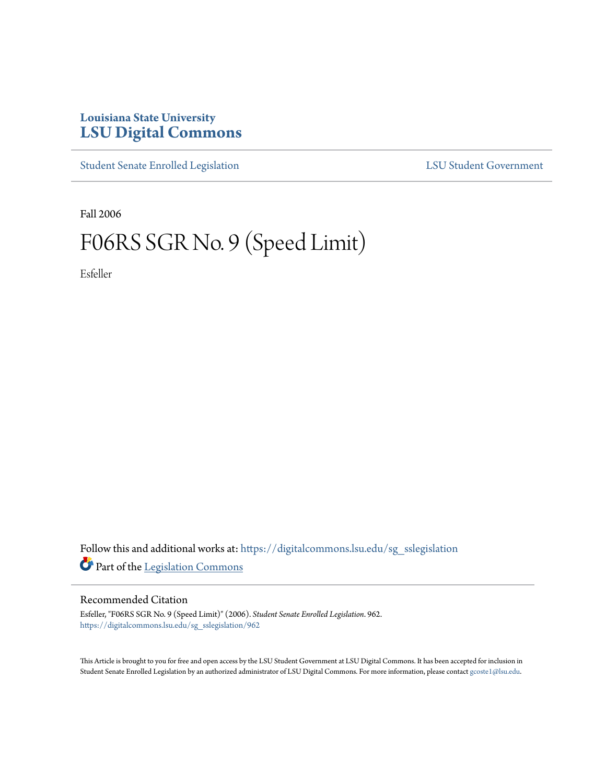## **Louisiana State University [LSU Digital Commons](https://digitalcommons.lsu.edu?utm_source=digitalcommons.lsu.edu%2Fsg_sslegislation%2F962&utm_medium=PDF&utm_campaign=PDFCoverPages)**

[Student Senate Enrolled Legislation](https://digitalcommons.lsu.edu/sg_sslegislation?utm_source=digitalcommons.lsu.edu%2Fsg_sslegislation%2F962&utm_medium=PDF&utm_campaign=PDFCoverPages) [LSU Student Government](https://digitalcommons.lsu.edu/sg?utm_source=digitalcommons.lsu.edu%2Fsg_sslegislation%2F962&utm_medium=PDF&utm_campaign=PDFCoverPages)

Fall 2006

## F06RS SGR No. 9 (Speed Limit)

Esfeller

Follow this and additional works at: [https://digitalcommons.lsu.edu/sg\\_sslegislation](https://digitalcommons.lsu.edu/sg_sslegislation?utm_source=digitalcommons.lsu.edu%2Fsg_sslegislation%2F962&utm_medium=PDF&utm_campaign=PDFCoverPages) Part of the [Legislation Commons](http://network.bepress.com/hgg/discipline/859?utm_source=digitalcommons.lsu.edu%2Fsg_sslegislation%2F962&utm_medium=PDF&utm_campaign=PDFCoverPages)

## Recommended Citation

Esfeller, "F06RS SGR No. 9 (Speed Limit)" (2006). *Student Senate Enrolled Legislation*. 962. [https://digitalcommons.lsu.edu/sg\\_sslegislation/962](https://digitalcommons.lsu.edu/sg_sslegislation/962?utm_source=digitalcommons.lsu.edu%2Fsg_sslegislation%2F962&utm_medium=PDF&utm_campaign=PDFCoverPages)

This Article is brought to you for free and open access by the LSU Student Government at LSU Digital Commons. It has been accepted for inclusion in Student Senate Enrolled Legislation by an authorized administrator of LSU Digital Commons. For more information, please contact [gcoste1@lsu.edu.](mailto:gcoste1@lsu.edu)